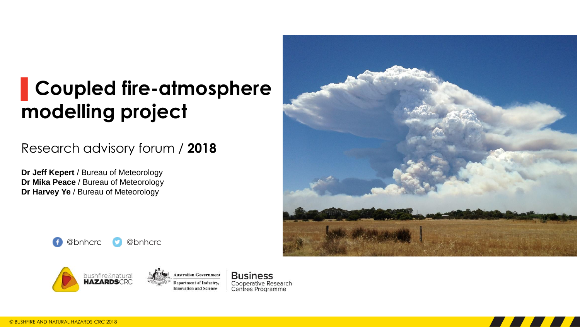#### **▌Coupled fire-atmosphere modelling project**

#### Research advisory forum / **2018**

**Dr Jeff Kepert** / Bureau of Meteorology **Dr Mika Peace** / Bureau of Meteorology **Dr Harvey Ye** / Bureau of Meteorology









**Business** Cooperative Research Centres Programme

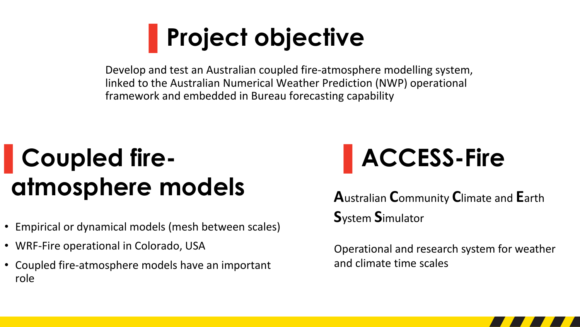### **▌Project objective**

Develop and test an Australian coupled fire-atmosphere modelling system, linked to the Australian Numerical Weather Prediction (NWP) operational framework and embedded in Bureau forecasting capability

### **▌Coupled fireatmosphere models**

- Empirical or dynamical models (mesh between scales)
- WRF-Fire operational in Colorado, USA
- Coupled fire-atmosphere models have an important role

## **▌ACCESS-Fire**

**A**ustralian **C**ommunity **C**limate and **E**arth **S**ystem **S**imulator

Operational and research system for weather and climate time scales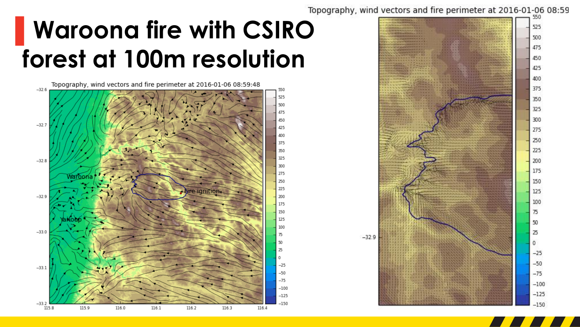#### Topography, wind vectors and fire perimeter at 2016-01-06 08:59

### **▌Waroona fire with CSIRO forest at 100m resolution**

Topography, wind vectors and fire perimeter at 2016-01-06 08:59:48



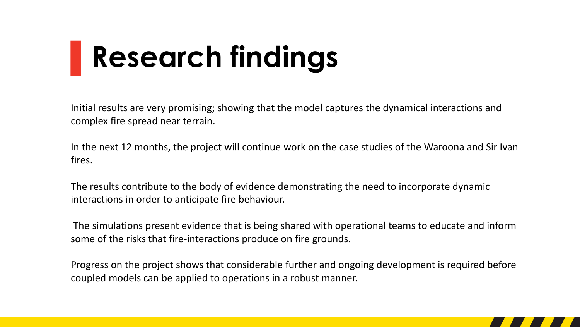# **▌Research findings**

Initial results are very promising; showing that the model captures the dynamical interactions and complex fire spread near terrain.

In the next 12 months, the project will continue work on the case studies of the Waroona and Sir Ivan fires.

The results contribute to the body of evidence demonstrating the need to incorporate dynamic interactions in order to anticipate fire behaviour.

The simulations present evidence that is being shared with operational teams to educate and inform some of the risks that fire-interactions produce on fire grounds.

Progress on the project shows that considerable further and ongoing development is required before coupled models can be applied to operations in a robust manner.

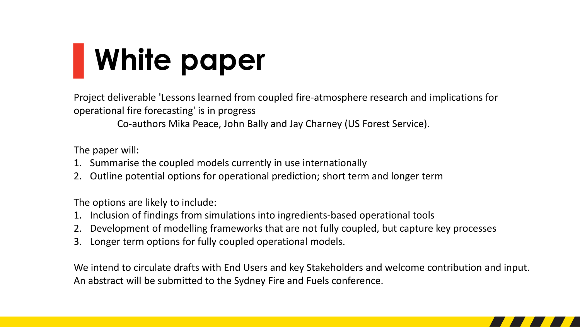# **▌White paper**

Project deliverable 'Lessons learned from coupled fire-atmosphere research and implications for operational fire forecasting' is in progress

Co-authors Mika Peace, John Bally and Jay Charney (US Forest Service).

The paper will:

- 1. Summarise the coupled models currently in use internationally
- 2. Outline potential options for operational prediction; short term and longer term

The options are likely to include:

- 1. Inclusion of findings from simulations into ingredients-based operational tools
- 2. Development of modelling frameworks that are not fully coupled, but capture key processes
- 3. Longer term options for fully coupled operational models.

We intend to circulate drafts with End Users and key Stakeholders and welcome contribution and input. An abstract will be submitted to the Sydney Fire and Fuels conference.

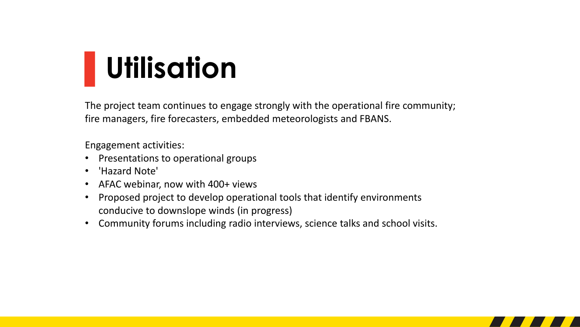## **▌Utilisation**

The project team continues to engage strongly with the operational fire community; fire managers, fire forecasters, embedded meteorologists and FBANS.

Engagement activities:

- Presentations to operational groups
- 'Hazard Note'
- AFAC webinar, now with 400+ views
- Proposed project to develop operational tools that identify environments conducive to downslope winds (in progress)
- Community forums including radio interviews, science talks and school visits.